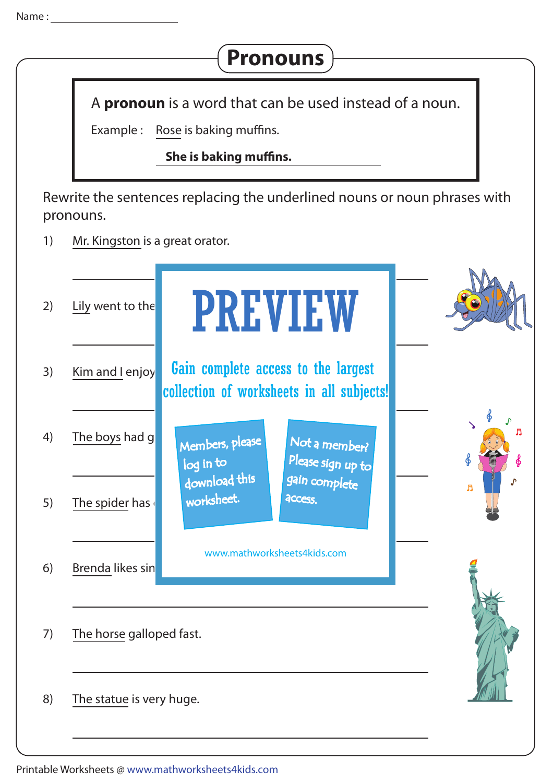